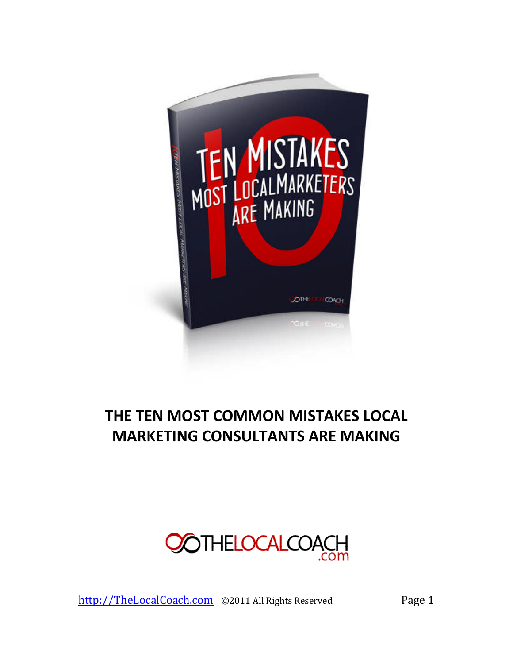

# **THE TEN MOST COMMON MISTAKES LOCAL MARKETING CONSULTANTS ARE MAKING**

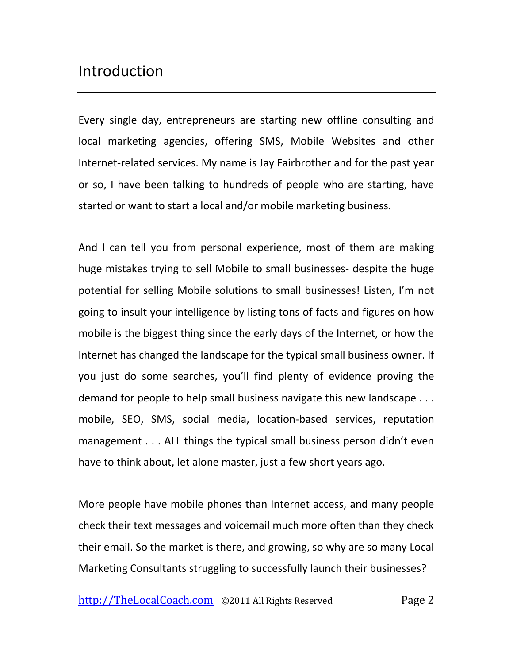# Introduction

Every single day, entrepreneurs are starting new offline consulting and local marketing agencies, offering SMS, Mobile Websites and other Internet-related services. My name is Jay Fairbrother and for the past year or so, I have been talking to hundreds of people who are starting, have started or want to start a local and/or mobile marketing business.

And I can tell you from personal experience, most of them are making huge mistakes trying to sell Mobile to small businesses- despite the huge potential for selling Mobile solutions to small businesses! Listen, I'm not going to insult your intelligence by listing tons of facts and figures on how mobile is the biggest thing since the early days of the Internet, or how the Internet has changed the landscape for the typical small business owner. If you just do some searches, you'll find plenty of evidence proving the demand for people to help small business navigate this new landscape . . . mobile, SEO, SMS, social media, location-based services, reputation management . . . ALL things the typical small business person didn't even have to think about, let alone master, just a few short years ago.

More people have mobile phones than Internet access, and many people check their text messages and voicemail much more often than they check their email. So the market is there, and growing, so why are so many Local Marketing Consultants struggling to successfully launch their businesses?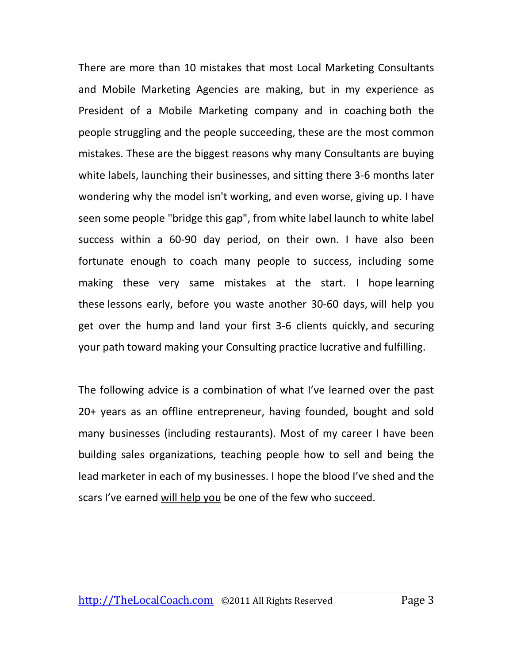There are more than 10 mistakes that most Local Marketing Consultants and Mobile Marketing Agencies are making, but in my experience as President of a Mobile Marketing company and in coaching both the people struggling and the people succeeding, these are the most common mistakes. These are the biggest reasons why many Consultants are buying white labels, launching their businesses, and sitting there 3-6 months later wondering why the model isn't working, and even worse, giving up. I have seen some people "bridge this gap", from white label launch to white label success within a 60-90 day period, on their own. I have also been fortunate enough to coach many people to success, including some making these very same mistakes at the start. I hope learning these lessons early, before you waste another 30-60 days, will help you get over the hump and land your first 3-6 clients quickly, and securing your path toward making your Consulting practice lucrative and fulfilling.

The following advice is a combination of what I've learned over the past 20+ years as an offline entrepreneur, having founded, bought and sold many businesses (including restaurants). Most of my career I have been building sales organizations, teaching people how to sell and being the lead marketer in each of my businesses. I hope the blood I've shed and the scars I've earned will help you be one of the few who succeed.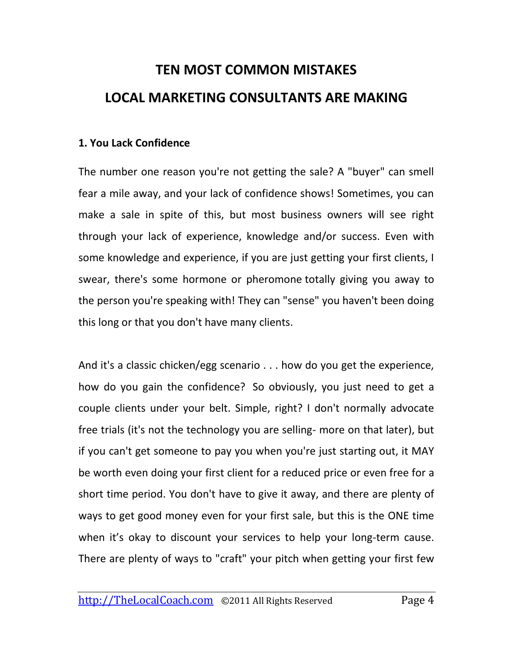# **TEN MOST COMMON MISTAKES LOCAL MARKETING CONSULTANTS ARE MAKING**

#### **1. You Lack Confidence**

The number one reason you're not getting the sale? A "buyer" can smell fear a mile away, and your lack of confidence shows! Sometimes, you can make a sale in spite of this, but most business owners will see right through your lack of experience, knowledge and/or success. Even with some knowledge and experience, if you are just getting your first clients, I swear, there's some hormone or pheromone totally giving you away to the person you're speaking with! They can "sense" you haven't been doing this long or that you don't have many clients.

And it's a classic chicken/egg scenario . . . how do you get the experience, how do you gain the confidence? So obviously, you just need to get a couple clients under your belt. Simple, right? I don't normally advocate free trials (it's not the technology you are selling- more on that later), but if you can't get someone to pay you when you're just starting out, it MAY be worth even doing your first client for a reduced price or even free for a short time period. You don't have to give it away, and there are plenty of ways to get good money even for your first sale, but this is the ONE time when it's okay to discount your services to help your long-term cause. There are plenty of ways to "craft" your pitch when getting your first few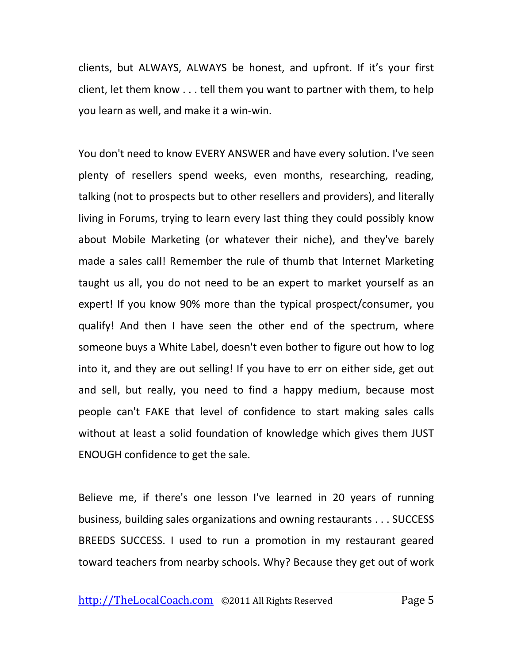clients, but ALWAYS, ALWAYS be honest, and upfront. If it's your first client, let them know . . . tell them you want to partner with them, to help you learn as well, and make it a win-win.

You don't need to know EVERY ANSWER and have every solution. I've seen plenty of resellers spend weeks, even months, researching, reading, talking (not to prospects but to other resellers and providers), and literally living in Forums, trying to learn every last thing they could possibly know about Mobile Marketing (or whatever their niche), and they've barely made a sales call! Remember the rule of thumb that Internet Marketing taught us all, you do not need to be an expert to market yourself as an expert! If you know 90% more than the typical prospect/consumer, you qualify! And then I have seen the other end of the spectrum, where someone buys a White Label, doesn't even bother to figure out how to log into it, and they are out selling! If you have to err on either side, get out and sell, but really, you need to find a happy medium, because most people can't FAKE that level of confidence to start making sales calls without at least a solid foundation of knowledge which gives them JUST ENOUGH confidence to get the sale.

Believe me, if there's one lesson I've learned in 20 years of running business, building sales organizations and owning restaurants . . . SUCCESS BREEDS SUCCESS. I used to run a promotion in my restaurant geared toward teachers from nearby schools. Why? Because they get out of work

http://TheLocalCoach.com ©2011 All Rights Reserved Page 5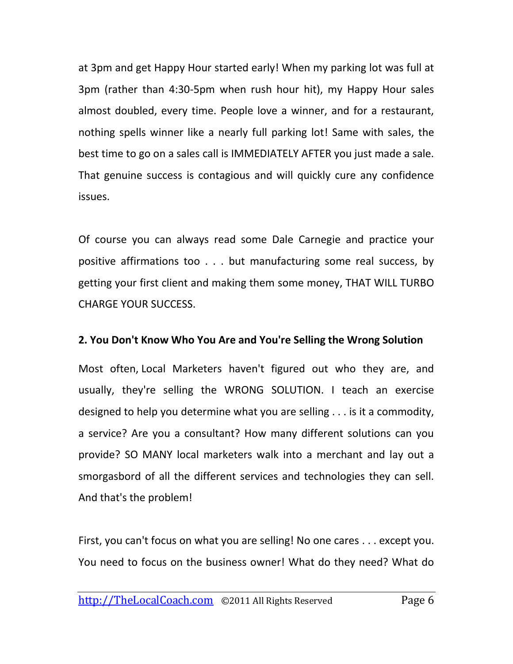at 3pm and get Happy Hour started early! When my parking lot was full at 3pm (rather than 4:30-5pm when rush hour hit), my Happy Hour sales almost doubled, every time. People love a winner, and for a restaurant, nothing spells winner like a nearly full parking lot! Same with sales, the best time to go on a sales call is IMMEDIATELY AFTER you just made a sale. That genuine success is contagious and will quickly cure any confidence issues.

Of course you can always read some Dale Carnegie and practice your positive affirmations too . . . but manufacturing some real success, by getting your first client and making them some money, THAT WILL TURBO CHARGE YOUR SUCCESS.

#### **2. You Don't Know Who You Are and You're Selling the Wrong Solution**

Most often, Local Marketers haven't figured out who they are, and usually, they're selling the WRONG SOLUTION. I teach an exercise designed to help you determine what you are selling . . . is it a commodity, a service? Are you a consultant? How many different solutions can you provide? SO MANY local marketers walk into a merchant and lay out a smorgasbord of all the different services and technologies they can sell. And that's the problem!

First, you can't focus on what you are selling! No one cares . . . except you. You need to focus on the business owner! What do they need? What do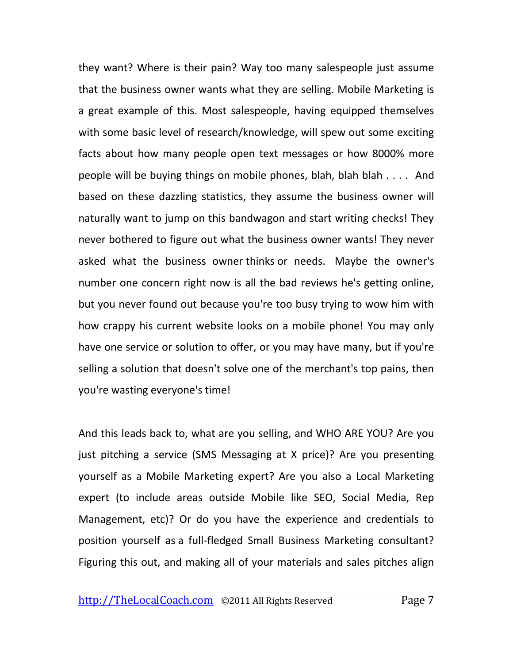they want? Where is their pain? Way too many salespeople just assume that the business owner wants what they are selling. Mobile Marketing is a great example of this. Most salespeople, having equipped themselves with some basic level of research/knowledge, will spew out some exciting facts about how many people open text messages or how 8000% more people will be buying things on mobile phones, blah, blah blah . . . . And based on these dazzling statistics, they assume the business owner will naturally want to jump on this bandwagon and start writing checks! They never bothered to figure out what the business owner wants! They never asked what the business owner thinks or needs. Maybe the owner's number one concern right now is all the bad reviews he's getting online, but you never found out because you're too busy trying to wow him with how crappy his current website looks on a mobile phone! You may only have one service or solution to offer, or you may have many, but if you're selling a solution that doesn't solve one of the merchant's top pains, then you're wasting everyone's time!

And this leads back to, what are you selling, and WHO ARE YOU? Are you just pitching a service (SMS Messaging at X price)? Are you presenting yourself as a Mobile Marketing expert? Are you also a Local Marketing expert (to include areas outside Mobile like SEO, Social Media, Rep Management, etc)? Or do you have the experience and credentials to position yourself as a full-fledged Small Business Marketing consultant? Figuring this out, and making all of your materials and sales pitches align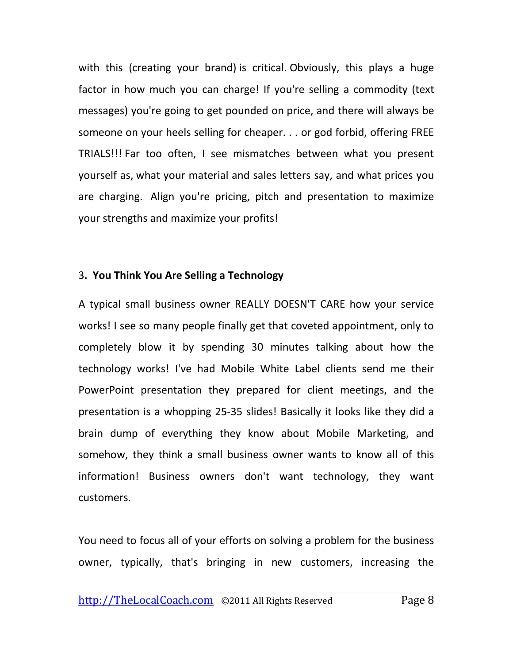with this (creating your brand) is critical. Obviously, this plays a huge factor in how much you can charge! If you're selling a commodity (text messages) you're going to get pounded on price, and there will always be someone on your heels selling for cheaper. . . or god forbid, offering FREE TRIALS!!! Far too often, I see mismatches between what you present yourself as, what your material and sales letters say, and what prices you are charging. Align you're pricing, pitch and presentation to maximize your strengths and maximize your profits!

#### 3**. You Think You Are Selling a Technology**

A typical small business owner REALLY DOESN'T CARE how your service works! I see so many people finally get that coveted appointment, only to completely blow it by spending 30 minutes talking about how the technology works! I've had Mobile White Label clients send me their PowerPoint presentation they prepared for client meetings, and the presentation is a whopping 25-35 slides! Basically it looks like they did a brain dump of everything they know about Mobile Marketing, and somehow, they think a small business owner wants to know all of this information! Business owners don't want technology, they want customers.

You need to focus all of your efforts on solving a problem for the business owner, typically, that's bringing in new customers, increasing the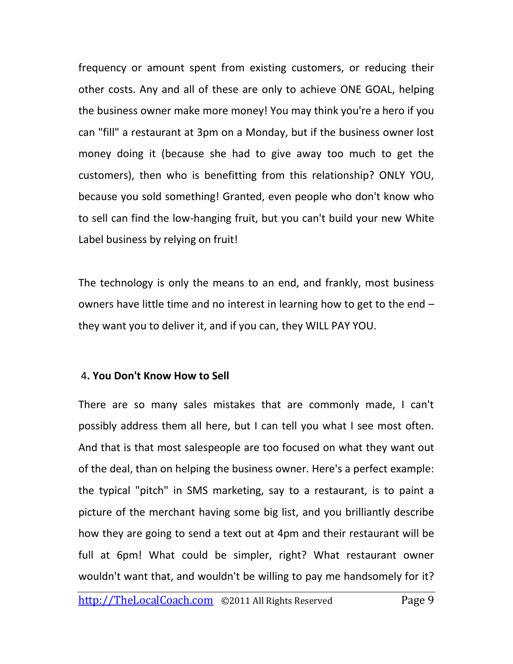frequency or amount spent from existing customers, or reducing their other costs. Any and all of these are only to achieve ONE GOAL, helping the business owner make more money! You may think you're a hero if you can "fill" a restaurant at 3pm on a Monday, but if the business owner lost money doing it (because she had to give away too much to get the customers), then who is benefitting from this relationship? ONLY YOU, because you sold something! Granted, even people who don't know who to sell can find the low-hanging fruit, but you can't build your new White Label business by relying on fruit!

The technology is only the means to an end, and frankly, most business owners have little time and no interest in learning how to get to the end – they want you to deliver it, and if you can, they WILL PAY YOU.

#### 4**. You Don't Know How to Sell**

There are so many sales mistakes that are commonly made, I can't possibly address them all here, but I can tell you what I see most often. And that is that most salespeople are too focused on what they want out of the deal, than on helping the business owner. Here's a perfect example: the typical "pitch" in SMS marketing, say to a restaurant, is to paint a picture of the merchant having some big list, and you brilliantly describe how they are going to send a text out at 4pm and their restaurant will be full at 6pm! What could be simpler, right? What restaurant owner wouldn't want that, and wouldn't be willing to pay me handsomely for it?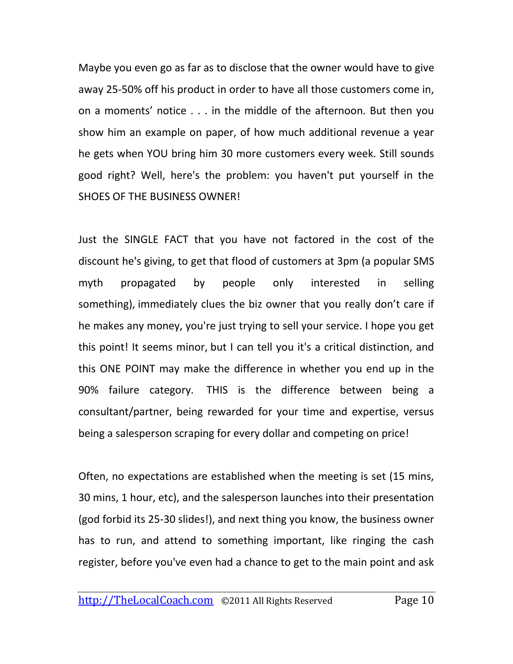Maybe you even go as far as to disclose that the owner would have to give away 25-50% off his product in order to have all those customers come in, on a moments' notice . . . in the middle of the afternoon. But then you show him an example on paper, of how much additional revenue a year he gets when YOU bring him 30 more customers every week. Still sounds good right? Well, here's the problem: you haven't put yourself in the SHOES OF THE BUSINESS OWNER!

Just the SINGLE FACT that you have not factored in the cost of the discount he's giving, to get that flood of customers at 3pm (a popular SMS myth propagated by people only interested in selling something), immediately clues the biz owner that you really don't care if he makes any money, you're just trying to sell your service. I hope you get this point! It seems minor, but I can tell you it's a critical distinction, and this ONE POINT may make the difference in whether you end up in the 90% failure category. THIS is the difference between being a consultant/partner, being rewarded for your time and expertise, versus being a salesperson scraping for every dollar and competing on price!

Often, no expectations are established when the meeting is set (15 mins, 30 mins, 1 hour, etc), and the salesperson launches into their presentation (god forbid its 25-30 slides!), and next thing you know, the business owner has to run, and attend to something important, like ringing the cash register, before you've even had a chance to get to the main point and ask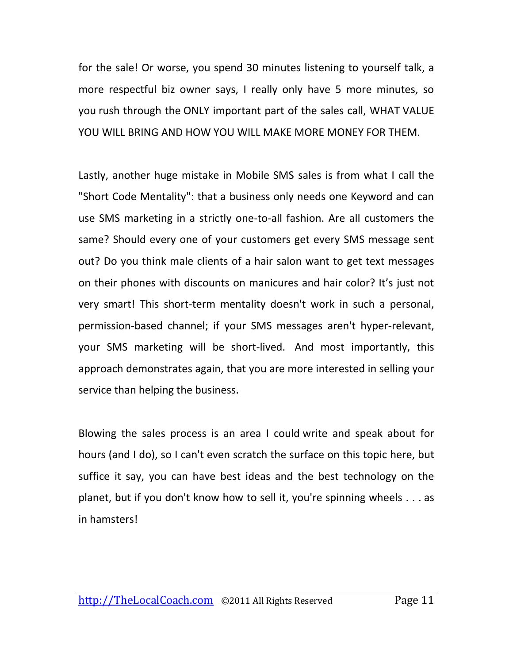for the sale! Or worse, you spend 30 minutes listening to yourself talk, a more respectful biz owner says, I really only have 5 more minutes, so you rush through the ONLY important part of the sales call, WHAT VALUE YOU WILL BRING AND HOW YOU WILL MAKE MORE MONEY FOR THEM.

Lastly, another huge mistake in Mobile SMS sales is from what I call the "Short Code Mentality": that a business only needs one Keyword and can use SMS marketing in a strictly one-to-all fashion. Are all customers the same? Should every one of your customers get every SMS message sent out? Do you think male clients of a hair salon want to get text messages on their phones with discounts on manicures and hair color? It's just not very smart! This short-term mentality doesn't work in such a personal, permission-based channel; if your SMS messages aren't hyper-relevant, your SMS marketing will be short-lived. And most importantly, this approach demonstrates again, that you are more interested in selling your service than helping the business.

Blowing the sales process is an area I could write and speak about for hours (and I do), so I can't even scratch the surface on this topic here, but suffice it say, you can have best ideas and the best technology on the planet, but if you don't know how to sell it, you're spinning wheels . . . as in hamsters!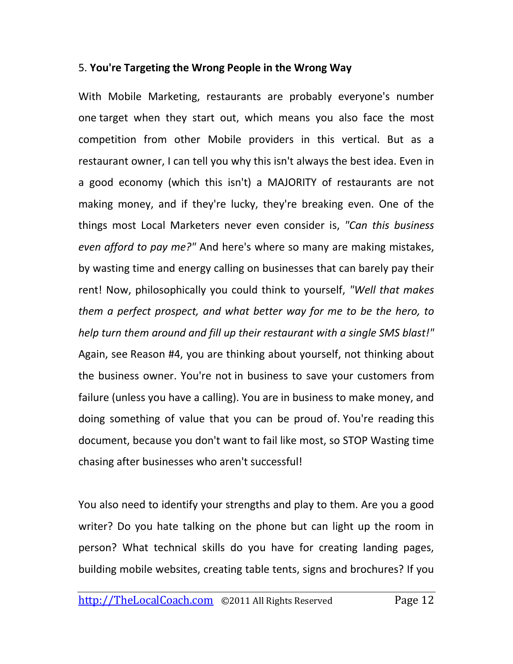#### 5. **You're Targeting the Wrong People in the Wrong Way**

With Mobile Marketing, restaurants are probably everyone's number one target when they start out, which means you also face the most competition from other Mobile providers in this vertical. But as a restaurant owner, I can tell you why this isn't always the best idea. Even in a good economy (which this isn't) a MAJORITY of restaurants are not making money, and if they're lucky, they're breaking even. One of the things most Local Marketers never even consider is, *"Can this business even afford to pay me?"* And here's where so many are making mistakes, by wasting time and energy calling on businesses that can barely pay their rent! Now, philosophically you could think to yourself, *"Well that makes them a perfect prospect, and what better way for me to be the hero, to help turn them around and fill up their restaurant with a single SMS blast!"* Again, see Reason #4, you are thinking about yourself, not thinking about the business owner. You're not in business to save your customers from failure (unless you have a calling). You are in business to make money, and doing something of value that you can be proud of. You're reading this document, because you don't want to fail like most, so STOP Wasting time chasing after businesses who aren't successful!

You also need to identify your strengths and play to them. Are you a good writer? Do you hate talking on the phone but can light up the room in person? What technical skills do you have for creating landing pages, building mobile websites, creating table tents, signs and brochures? If you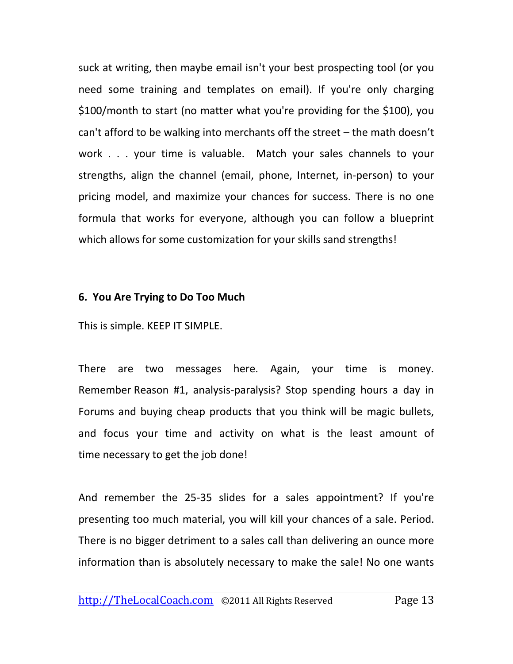suck at writing, then maybe email isn't your best prospecting tool (or you need some training and templates on email). If you're only charging \$100/month to start (no matter what you're providing for the \$100), you can't afford to be walking into merchants off the street – the math doesn't work . . . your time is valuable. Match your sales channels to your strengths, align the channel (email, phone, Internet, in-person) to your pricing model, and maximize your chances for success. There is no one formula that works for everyone, although you can follow a blueprint which allows for some customization for your skills sand strengths!

#### **6. You Are Trying to Do Too Much**

This is simple. KEEP IT SIMPLE.

There are two messages here. Again, your time is money. Remember Reason #1, analysis-paralysis? Stop spending hours a day in Forums and buying cheap products that you think will be magic bullets, and focus your time and activity on what is the least amount of time necessary to get the job done!

And remember the 25-35 slides for a sales appointment? If you're presenting too much material, you will kill your chances of a sale. Period. There is no bigger detriment to a sales call than delivering an ounce more information than is absolutely necessary to make the sale! No one wants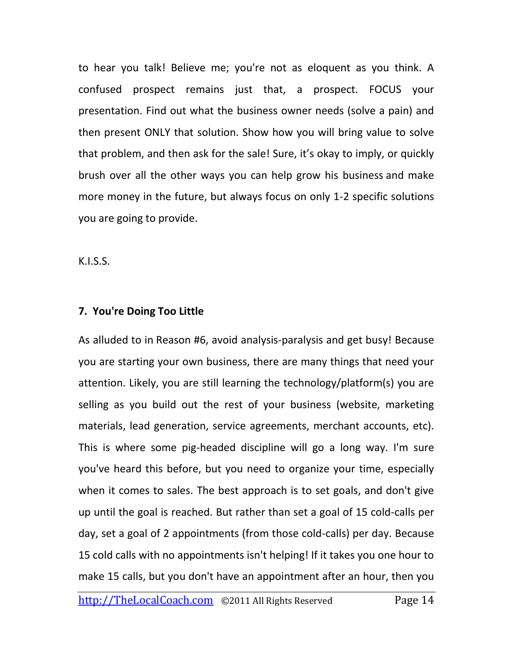to hear you talk! Believe me; you're not as eloquent as you think. A confused prospect remains just that, a prospect. FOCUS your presentation. Find out what the business owner needs (solve a pain) and then present ONLY that solution. Show how you will bring value to solve that problem, and then ask for the sale! Sure, it's okay to imply, or quickly brush over all the other ways you can help grow his business and make more money in the future, but always focus on only 1-2 specific solutions you are going to provide.

K.I.S.S.

### **7. You're Doing Too Little**

As alluded to in Reason #6, avoid analysis-paralysis and get busy! Because you are starting your own business, there are many things that need your attention. Likely, you are still learning the technology/platform(s) you are selling as you build out the rest of your business (website, marketing materials, lead generation, service agreements, merchant accounts, etc). This is where some pig-headed discipline will go a long way. I'm sure you've heard this before, but you need to organize your time, especially when it comes to sales. The best approach is to set goals, and don't give up until the goal is reached. But rather than set a goal of 15 cold-calls per day, set a goal of 2 appointments (from those cold-calls) per day. Because 15 cold calls with no appointments isn't helping! If it takes you one hour to make 15 calls, but you don't have an appointment after an hour, then you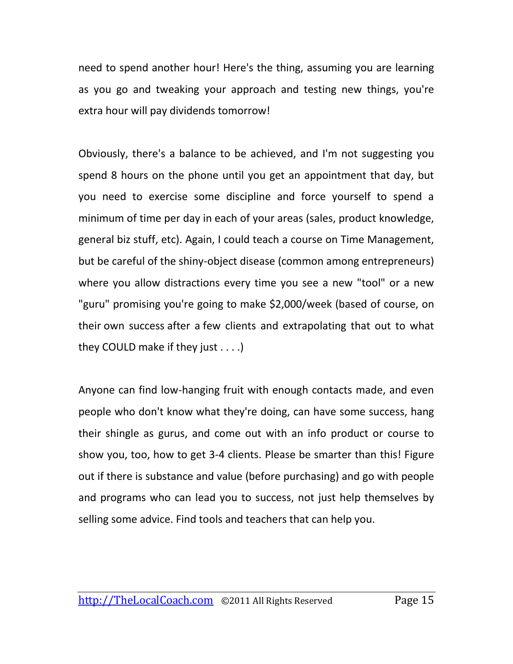need to spend another hour! Here's the thing, assuming you are learning as you go and tweaking your approach and testing new things, you're extra hour will pay dividends tomorrow!

Obviously, there's a balance to be achieved, and I'm not suggesting you spend 8 hours on the phone until you get an appointment that day, but you need to exercise some discipline and force yourself to spend a minimum of time per day in each of your areas (sales, product knowledge, general biz stuff, etc). Again, I could teach a course on Time Management, but be careful of the shiny-object disease (common among entrepreneurs) where you allow distractions every time you see a new "tool" or a new "guru" promising you're going to make \$2,000/week (based of course, on their own success after a few clients and extrapolating that out to what they COULD make if they just . . . .)

Anyone can find low-hanging fruit with enough contacts made, and even people who don't know what they're doing, can have some success, hang their shingle as gurus, and come out with an info product or course to show you, too, how to get 3-4 clients. Please be smarter than this! Figure out if there is substance and value (before purchasing) and go with people and programs who can lead you to success, not just help themselves by selling some advice. Find tools and teachers that can help you.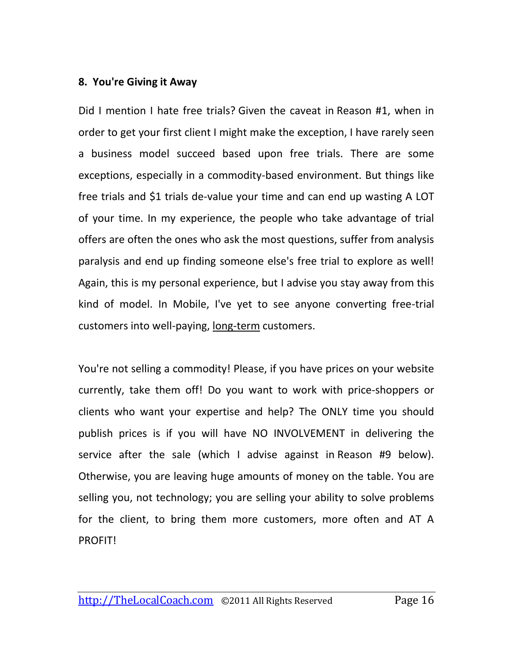#### **8. You're Giving it Away**

Did I mention I hate free trials? Given the caveat in Reason #1, when in order to get your first client I might make the exception, I have rarely seen a business model succeed based upon free trials. There are some exceptions, especially in a commodity-based environment. But things like free trials and \$1 trials de-value your time and can end up wasting A LOT of your time. In my experience, the people who take advantage of trial offers are often the ones who ask the most questions, suffer from analysis paralysis and end up finding someone else's free trial to explore as well! Again, this is my personal experience, but I advise you stay away from this kind of model. In Mobile, I've yet to see anyone converting free-trial customers into well-paying, long-term customers.

You're not selling a commodity! Please, if you have prices on your website currently, take them off! Do you want to work with price-shoppers or clients who want your expertise and help? The ONLY time you should publish prices is if you will have NO INVOLVEMENT in delivering the service after the sale (which I advise against in Reason #9 below). Otherwise, you are leaving huge amounts of money on the table. You are selling you, not technology; you are selling your ability to solve problems for the client, to bring them more customers, more often and AT A PROFIT!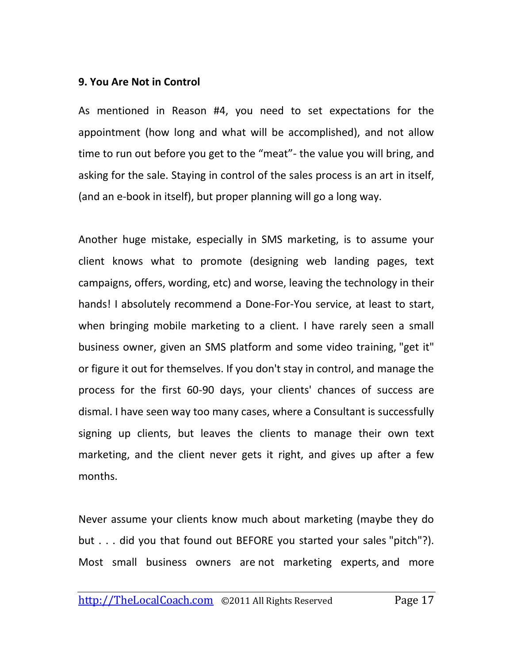#### **9. You Are Not in Control**

As mentioned in Reason #4, you need to set expectations for the appointment (how long and what will be accomplished), and not allow time to run out before you get to the "meat"- the value you will bring, and asking for the sale. Staying in control of the sales process is an art in itself, (and an e-book in itself), but proper planning will go a long way.

Another huge mistake, especially in SMS marketing, is to assume your client knows what to promote (designing web landing pages, text campaigns, offers, wording, etc) and worse, leaving the technology in their hands! I absolutely recommend a Done-For-You service, at least to start, when bringing mobile marketing to a client. I have rarely seen a small business owner, given an SMS platform and some video training, "get it" or figure it out for themselves. If you don't stay in control, and manage the process for the first 60-90 days, your clients' chances of success are dismal. I have seen way too many cases, where a Consultant is successfully signing up clients, but leaves the clients to manage their own text marketing, and the client never gets it right, and gives up after a few months.

Never assume your clients know much about marketing (maybe they do but . . . did you that found out BEFORE you started your sales "pitch"?). Most small business owners are not marketing experts, and more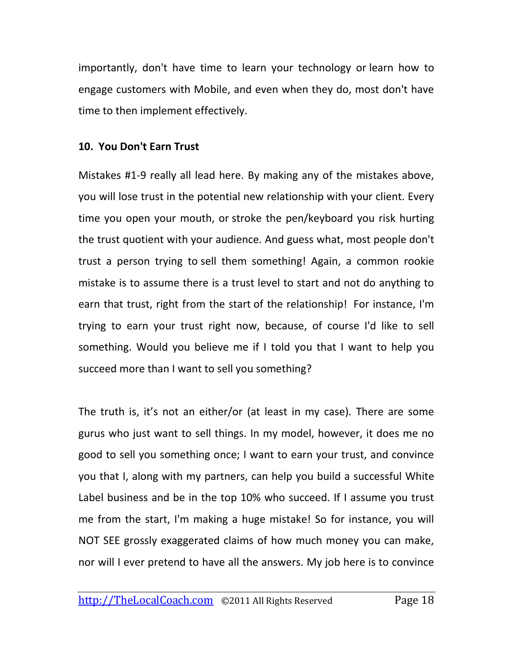importantly, don't have time to learn your technology or learn how to engage customers with Mobile, and even when they do, most don't have time to then implement effectively.

#### **10. You Don't Earn Trust**

Mistakes #1-9 really all lead here. By making any of the mistakes above, you will lose trust in the potential new relationship with your client. Every time you open your mouth, or stroke the pen/keyboard you risk hurting the trust quotient with your audience. And guess what, most people don't trust a person trying to sell them something! Again, a common rookie mistake is to assume there is a trust level to start and not do anything to earn that trust, right from the start of the relationship! For instance, I'm trying to earn your trust right now, because, of course I'd like to sell something. Would you believe me if I told you that I want to help you succeed more than I want to sell you something?

The truth is, it's not an either/or (at least in my case). There are some gurus who just want to sell things. In my model, however, it does me no good to sell you something once; I want to earn your trust, and convince you that I, along with my partners, can help you build a successful White Label business and be in the top 10% who succeed. If I assume you trust me from the start, I'm making a huge mistake! So for instance, you will NOT SEE grossly exaggerated claims of how much money you can make, nor will I ever pretend to have all the answers. My job here is to convince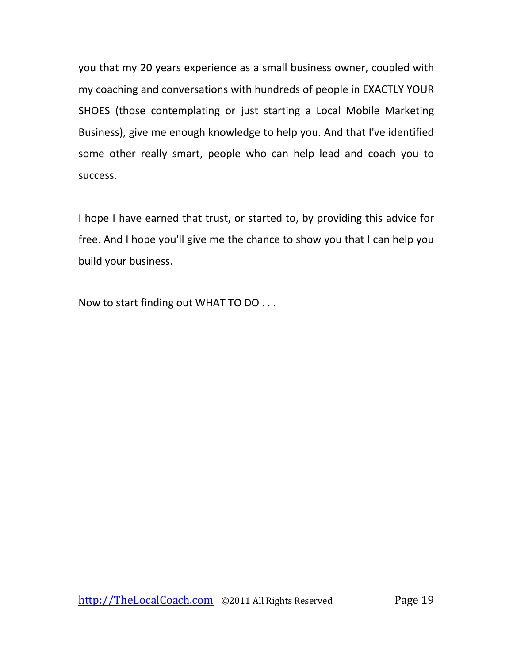you that my 20 years experience as a small business owner, coupled with my coaching and conversations with hundreds of people in EXACTLY YOUR SHOES (those contemplating or just starting a Local Mobile Marketing Business), give me enough knowledge to help you. And that I've identified some other really smart, people who can help lead and coach you to success.

I hope I have earned that trust, or started to, by providing this advice for free. And I hope you'll give me the chance to show you that I can help you build your business.

Now to start finding out WHAT TO DO . . .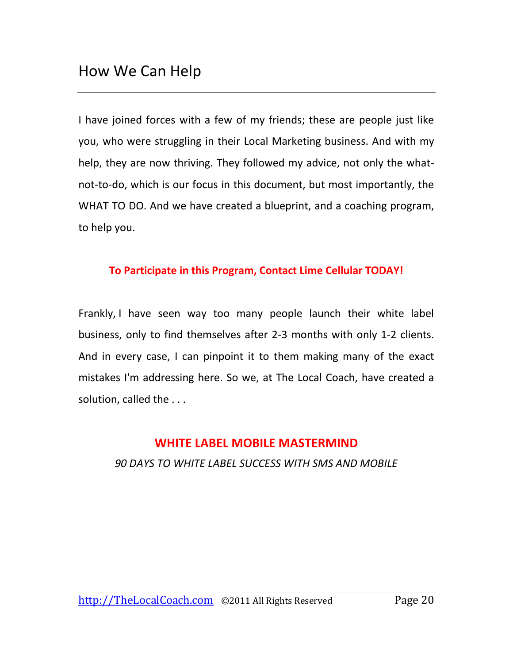I have joined forces with a few of my friends; these are people just like you, who were struggling in their Local Marketing business. And with my help, they are now thriving. They followed my advice, not only the whatnot-to-do, which is our focus in this document, but most importantly, the WHAT TO DO. And we have created a blueprint, and a coaching program, to help you.

#### **To Participate in this Program, Contact Lime Cellular TODAY!**

Frankly, I have seen way too many people launch their white label business, only to find themselves after 2-3 months with only 1-2 clients. And in every case, I can pinpoint it to them making many of the exact mistakes I'm addressing here. So we, at The Local Coach, have created a solution, called the . . .

#### **WHITE LABEL MOBILE MASTERMIND**

*90 DAYS TO WHITE LABEL SUCCESS WITH SMS AND MOBILE*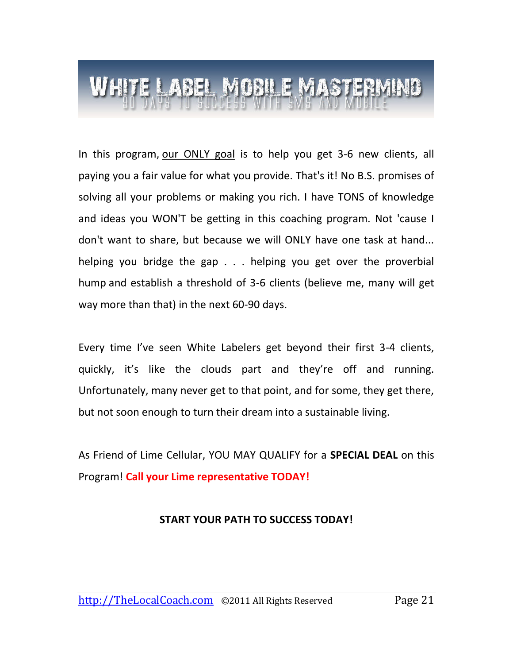In this program, our ONLY goal is to help you get 3-6 new clients, all paying you a fair value for what you provide. That's it! No B.S. promises of solving all your problems or making you rich. I have TONS of knowledge and ideas you WON'T be getting in this coaching program. Not 'cause I don't want to share, but because we will ONLY have one task at hand... helping you bridge the gap . . . helping you get over the proverbial hump and establish a threshold of 3-6 clients (believe me, many will get way more than that) in the next 60-90 days.

Every time I've seen White Labelers get beyond their first 3-4 clients, quickly, it's like the clouds part and they're off and running. Unfortunately, many never get to that point, and for some, they get there, but not soon enough to turn their dream into a sustainable living.

As Friend of Lime Cellular, YOU MAY QUALIFY for a **SPECIAL DEAL** on this Program! **Call your Lime representative TODAY!**

#### **START YOUR PATH TO SUCCESS TODAY!**